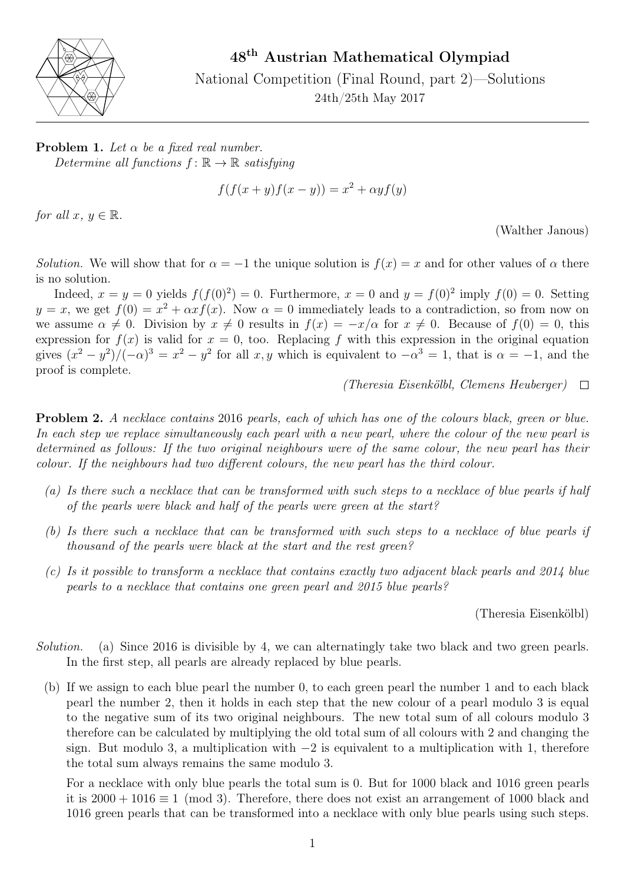

48th Austrian Mathematical Olympiad

National Competition (Final Round, part 2)—Solutions 24th/25th May 2017

**Problem 1.** Let  $\alpha$  be a fixed real number. Determine all functions  $f: \mathbb{R} \to \mathbb{R}$  satisfying

$$
f(f(x + y)f(x - y)) = x2 + \alpha yf(y)
$$

for all  $x, y \in \mathbb{R}$ .

(Walther Janous)

Solution. We will show that for  $\alpha = -1$  the unique solution is  $f(x) = x$  and for other values of  $\alpha$  there is no solution.

Indeed,  $x = y = 0$  yields  $f(f(0)^2) = 0$ . Furthermore,  $x = 0$  and  $y = f(0)^2$  imply  $f(0) = 0$ . Setting  $y = x$ , we get  $f(0) = x^2 + \alpha x f(x)$ . Now  $\alpha = 0$  immediately leads to a contradiction, so from now on we assume  $\alpha \neq 0$ . Division by  $x \neq 0$  results in  $f(x) = -x/\alpha$  for  $x \neq 0$ . Because of  $f(0) = 0$ , this expression for  $f(x)$  is valid for  $x = 0$ , too. Replacing f with this expression in the original equation gives  $(x^2 - y^2)/(-\alpha)^3 = x^2 - y^2$  for all x, y which is equivalent to  $-\alpha^3 = 1$ , that is  $\alpha = -1$ , and the proof is complete.

(Theresia Eisenkölbl, Clemens Heuberger)  $\Box$ 

Problem 2. A necklace contains 2016 pearls, each of which has one of the colours black, green or blue. In each step we replace simultaneously each pearl with a new pearl, where the colour of the new pearl is determined as follows: If the two original neighbours were of the same colour, the new pearl has their colour. If the neighbours had two different colours, the new pearl has the third colour.

- (a) Is there such a necklace that can be transformed with such steps to a necklace of blue pearls if half of the pearls were black and half of the pearls were green at the start?
- (b) Is there such a necklace that can be transformed with such steps to a necklace of blue pearls if thousand of the pearls were black at the start and the rest green?
- (c) Is it possible to transform a necklace that contains exactly two adjacent black pearls and 2014 blue pearls to a necklace that contains one green pearl and 2015 blue pearls?

(Theresia Eisenkölbl)

- Solution. (a) Since 2016 is divisible by 4, we can alternatingly take two black and two green pearls. In the first step, all pearls are already replaced by blue pearls.
	- (b) If we assign to each blue pearl the number 0, to each green pearl the number 1 and to each black pearl the number 2, then it holds in each step that the new colour of a pearl modulo 3 is equal to the negative sum of its two original neighbours. The new total sum of all colours modulo 3 therefore can be calculated by multiplying the old total sum of all colours with 2 and changing the sign. But modulo 3, a multiplication with −2 is equivalent to a multiplication with 1, therefore the total sum always remains the same modulo 3.

For a necklace with only blue pearls the total sum is 0. But for 1000 black and 1016 green pearls it is  $2000 + 1016 \equiv 1 \pmod{3}$ . Therefore, there does not exist an arrangement of 1000 black and 1016 green pearls that can be transformed into a necklace with only blue pearls using such steps.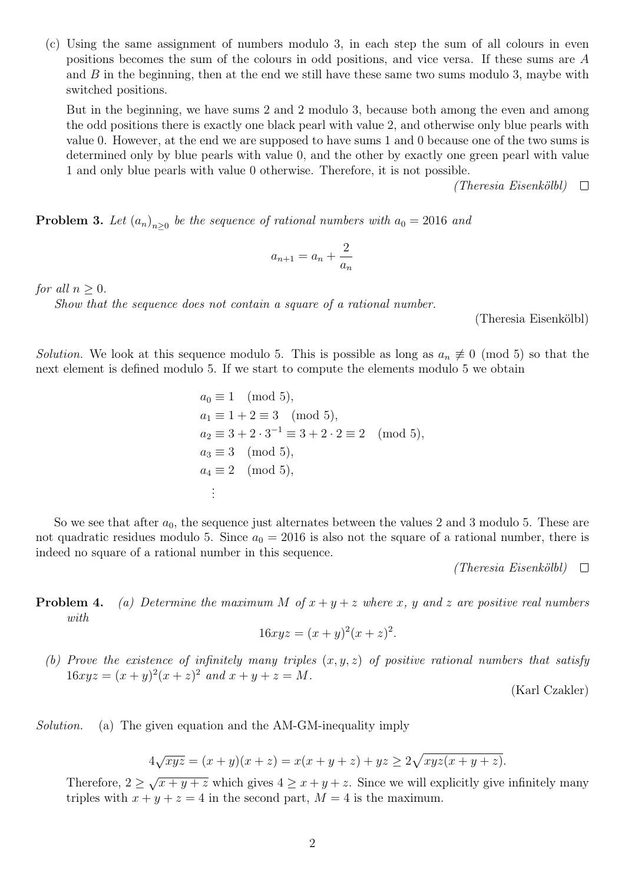(c) Using the same assignment of numbers modulo 3, in each step the sum of all colours in even positions becomes the sum of the colours in odd positions, and vice versa. If these sums are A and  $B$  in the beginning, then at the end we still have these same two sums modulo 3, maybe with switched positions.

But in the beginning, we have sums 2 and 2 modulo 3, because both among the even and among the odd positions there is exactly one black pearl with value 2, and otherwise only blue pearls with value 0. However, at the end we are supposed to have sums 1 and 0 because one of the two sums is determined only by blue pearls with value 0, and the other by exactly one green pearl with value 1 and only blue pearls with value 0 otherwise. Therefore, it is not possible.

> (Theresia Eisenkölbl)  $\Box$

**Problem 3.** Let  $(a_n)_{n\geq 0}$  be the sequence of rational numbers with  $a_0 = 2016$  and

$$
a_{n+1} = a_n + \frac{2}{a_n}
$$

for all  $n \geq 0$ .

Show that the sequence does not contain a square of a rational number.

(Theresia Eisenkölbl)

Solution. We look at this sequence modulo 5. This is possible as long as  $a_n \neq 0 \pmod{5}$  so that the next element is defined modulo 5. If we start to compute the elements modulo 5 we obtain

$$
a_0 \equiv 1 \pmod{5},
$$
  
\n $a_1 \equiv 1 + 2 \equiv 3 \pmod{5},$   
\n $a_2 \equiv 3 + 2 \cdot 3^{-1} \equiv 3 + 2 \cdot 2 \equiv 2 \pmod{5},$   
\n $a_3 \equiv 3 \pmod{5},$   
\n $a_4 \equiv 2 \pmod{5},$   
\n...

So we see that after  $a_0$ , the sequence just alternates between the values 2 and 3 modulo 5. These are not quadratic residues modulo 5. Since  $a_0 = 2016$  is also not the square of a rational number, there is indeed no square of a rational number in this sequence.

> (Theresia Eisenkölbl)  $\Box$

**Problem 4.** (a) Determine the maximum M of  $x + y + z$  where x, y and z are positive real numbers with

$$
16xyz = (x+y)^2(x+z)^2.
$$

(b) Prove the existence of infinitely many triples  $(x, y, z)$  of positive rational numbers that satisfy  $16xyz = (x+y)^2(x+z)^2$  and  $x+y+z = M$ .

(Karl Czakler)

Solution. (a) The given equation and the AM-GM-inequality imply

$$
4\sqrt{xyz} = (x+y)(x+z) = x(x+y+z) + yz \ge 2\sqrt{xyz(x+y+z)}.
$$

Therefore,  $2 \geq$ √  $\sqrt{x+y+z}$  which gives  $4 \ge x+y+z$ . Since we will explicitly give infinitely many triples with  $x + y + z = 4$  in the second part,  $M = 4$  is the maximum.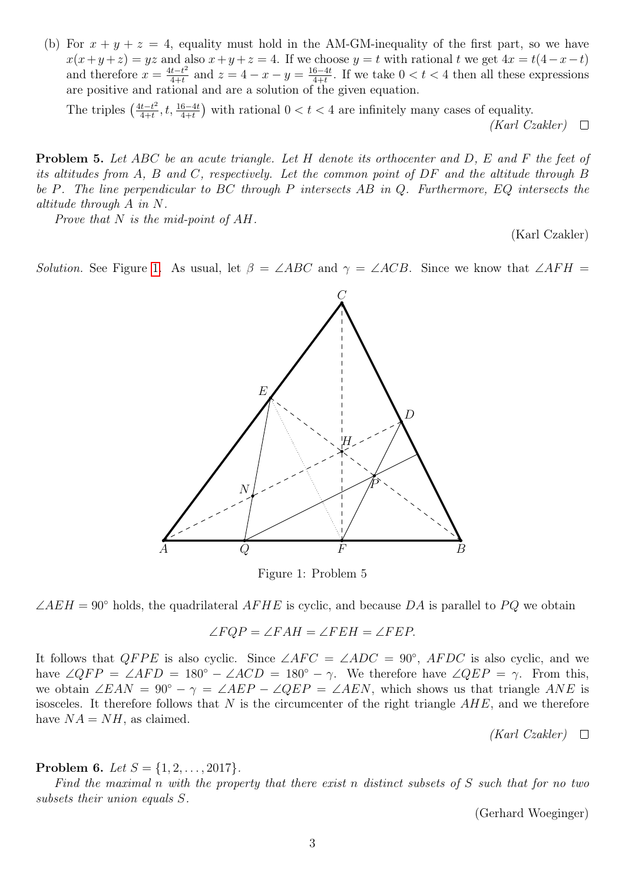(b) For  $x + y + z = 4$ , equality must hold in the AM-GM-inequality of the first part, so we have  $x(x+y+z) = yz$  and also  $x+y+z=4$ . If we choose  $y=t$  with rational t we get  $4x = t(4-x-t)$ and therefore  $x = \frac{4t-t^2}{4+t}$  $\frac{t-t^2}{4+t}$  and  $z=4-x-y=\frac{16-4t}{4+t}$  $\frac{6-4t}{4+t}$ . If we take  $0 < t < 4$  then all these expressions are positive and rational and are a solution of the given equation.

The triples  $\left(\frac{4t-t^2}{4+t}\right)$  $\frac{t-t^2}{4+t}$ ,  $t, \frac{16-4t}{4+t}$  with rational  $0 < t < 4$  are infinitely many cases of equality.  $(Karl Czakler) \quad \Box$ 

**Problem 5.** Let ABC be an acute triangle. Let H denote its orthocenter and D, E and F the feet of its altitudes from A, B and C, respectively. Let the common point of DF and the altitude through B be P. The line perpendicular to BC through P intersects AB in Q. Furthermore, EQ intersects the altitude through A in N.

Prove that  $N$  is the mid-point of  $AH$ .

(Karl Czakler)

<span id="page-2-0"></span>Solution. See Figure [1.](#page-2-0) As usual, let  $\beta = \angle ABC$  and  $\gamma = \angle ACB$ . Since we know that  $\angle AFH =$ 



Figure 1: Problem 5

 $\angle AEH = 90^{\circ}$  holds, the quadrilateral  $AFHE$  is cyclic, and because DA is parallel to PQ we obtain

$$
\angle FQP = \angle FAH = \angle FEH = \angle FEP.
$$

It follows that  $QFPE$  is also cyclic. Since  $\angle AFC = \angle ADC = 90^{\circ}$ ,  $AFDC$  is also cyclic, and we have  $\angle QFP = \angle AFD = 180^\circ - \angle ACD = 180^\circ - \gamma$ . We therefore have  $\angle QEP = \gamma$ . From this, we obtain  $\angle EAN = 90^{\circ} - \gamma = \angle AEP - \angle QEP = \angle AEN$ , which shows us that triangle ANE is isosceles. It therefore follows that  $N$  is the circumcenter of the right triangle  $AHE$ , and we therefore have  $NA = NH$ , as claimed.

 $(Karl Czakler) \quad \Box$ 

**Problem 6.** Let  $S = \{1, 2, ..., 2017\}$ .

Find the maximal n with the property that there exist n distinct subsets of  $S$  such that for no two subsets their union equals S.

(Gerhard Woeginger)